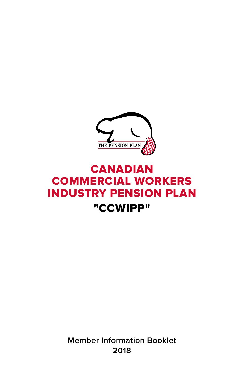

# CANADIAN COMMERCIAL WORKERS INDUSTRY PENSION PLAN "CCWIPP"

**Member Information Booklet 2018**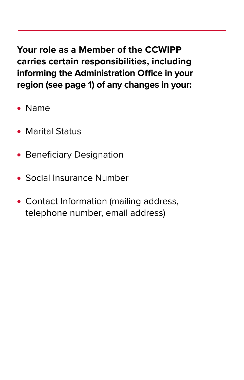**Your role as a Member of the CCWIPP carries certain responsibilities, including informing the Administration Office in your region (see page 1) of any changes in your:**

- **•** Name
- **•** Marital Status
- **•** Beneficiary Designation
- **•** Social Insurance Number
- **•** Contact Information (mailing address, telephone number, email address)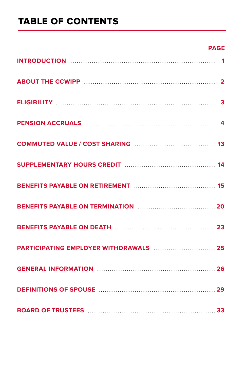# TABLE OF CONTENTS

# **PAGE**

| BENEFITS PAYABLE ON RETIREMENT MARRIED MANUSCRIPT 15 |  |
|------------------------------------------------------|--|
| BENEFITS PAYABLE ON TERMINATION MARRIELLE 20         |  |
|                                                      |  |
|                                                      |  |
|                                                      |  |
|                                                      |  |
|                                                      |  |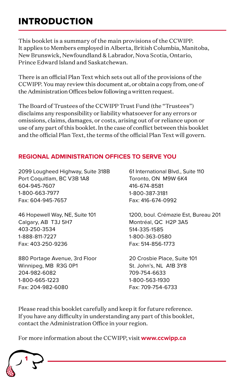# INTRODUCTION

This booklet is a summary of the main provisions of the CCWIPP. It applies to Members employed in Alberta, British Columbia, Manitoba, New Brunswick, Newfoundland & Labrador, Nova Scotia, Ontario, Prince Edward Island and Saskatchewan.

There is an official Plan Text which sets out all of the provisions of the CCWIPP. You may review this document at, or obtain a copy from, one of the Administration Offices below following a written request.

The Board of Trustees of the CCWIPP Trust Fund (the "Trustees") disclaims any responsibility or liability whatsoever for any errors or omissions, claims, damages, or costs, arising out of or reliance upon or use of any part of this booklet. In the case of conflict between this booklet and the official Plan Text, the terms of the official Plan Text will govern.

# **REGIONAL ADMINISTRATION OFFICES TO SERVE YOU**

2099 Lougheed Highway, Suite 318B Port Coquitlam, BC V3B 1A8 604-945-7607 1-800-663-7977 Fax: 604-945-7657

46 Hopewell Way, NE, Suite 101 Calgary, AB T3J 5H7 403-250-3534 1-888-811-7227 Fax: 403-250-9236

880 Portage Avenue, 3rd Floor Winnipeg, MB R3G 0P1 204-982-6082 1-800-665-1223 Fax: 204-982-6080

61 International Blvd., Suite 110 Toronto, ON M9W 6K4 416-674-8581 1-800-387-3181 Fax: 416-674-0992

1200, boul. Crémazie Est, Bureau 201 Montréal, QC H2P 3A5 514-335-1585 1-800-363-0580 Fax: 514-856-1773

20 Crosbie Place, Suite 101 St. John's, NL A1B 3Y8 709-754-6633 1-800-563-1930 Fax: 709-754-6733

Please read this booklet carefully and keep it for future reference. If you have any difficulty in understanding any part of this booklet, contact the Administration Office in your region.

For more information about the CCWIPP, visit **www.ccwipp.ca**

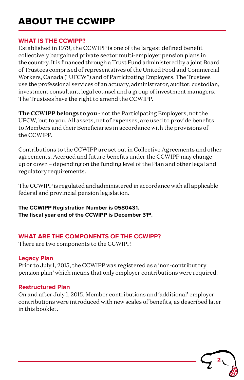# ABOUT THE CCWIPP

### **WHAT IS THE CCWIPP?**

Established in 1979, the CCWIPP is one of the largest defined benefit collectively bargained private sector multi-employer pension plans in the country. It is financed through a Trust Fund administered by a joint Board of Trustees comprised of representatives of the United Food and Commercial Workers, Canada ("UFCW") and of Participating Employers. The Trustees use the professional services of an actuary, administrator, auditor, custodian, investment consultant, legal counsel and a group of investment managers. The Trustees have the right to amend the CCWIPP.

**The CCWIPP belongs to you -** not the Participating Employers, not the UFCW, but to you. All assets, net of expenses, are used to provide benefits to Members and their Beneficiaries in accordance with the provisions of the CCWIPP.

Contributions to the CCWIPP are set out in Collective Agreements and other agreements. Accrued and future benefits under the CCWIPP may change – up or down – depending on the funding level of the Plan and other legal and regulatory requirements.

The CCWIPP is regulated and administered in accordance with all applicable federal and provincial pension legislation.

**The CCWIPP Registration Number is 0580431. The fiscal year end of the CCWIPP is December 31st.**

# **WHAT ARE THE COMPONENTS OF THE CCWIPP?**

There are two components to the CCWIPP.

### **Legacy Plan**

Prior to July 1, 2015, the CCWIPP was registered as a 'non-contributory pension plan' which means that only employer contributions were required.

## **Restructured Plan**

On and after July 1, 2015, Member contributions and 'additional' employer contributions were introduced with new scales of benefits, as described later in this booklet.

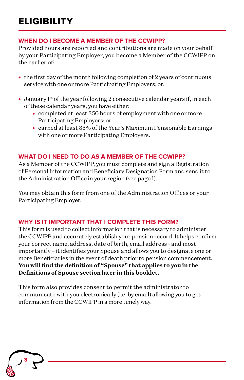# **WHEN DO I BECOME A MEMBER OF THE CCWIPP?**

Provided hours are reported and contributions are made on your behalf by your Participating Employer, you become a Member of the CCWIPP on the earlier of:

- the first day of the month following completion of 2 years of continuous service with one or more Participating Employers; or,
- January 1<sup>st</sup> of the year following 2 consecutive calendar years if, in each of these calendar years, you have either:
	- completed at least 350 hours of employment with one or more Participating Employers; or,
	- earned at least 35% of the Year's Maximum Pensionable Earnings with one or more Participating Employers.

# **WHAT DO I NEED TO DO AS A MEMBER OF THE CCWIPP?**

As a Member of the CCWIPP, you must complete and sign a Registration of Personal Information and Beneficiary Designation Form and send it to the Administration Office in your region (see page 1).

You may obtain this form from one of the Administration Offices or your Participating Employer.

## **WHY IS IT IMPORTANT THAT I COMPLETE THIS FORM?**

This form is used to collect information that is necessary to administer the CCWIPP and accurately establish your pension record. It helps confirm your correct name, address, date of birth, email address - and most importantly – it identifies your Spouse and allows you to designate one or more Beneficiaries in the event of death prior to pension commencement. **You will find the definition of "Spouse" that applies to you in the Definitions of Spouse section later in this booklet.**

This form also provides consent to permit the administrator to communicate with you electronically (i.e. by email) allowing you to get information from the CCWIPP in a more timely way.

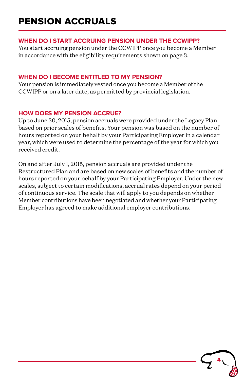# PENSION ACCRUALS

### **WHEN DO I START ACCRUING PENSION UNDER THE CCWIPP?**

You start accruing pension under the CCWIPP once you become a Member in accordance with the eligibility requirements shown on page 3.

# **WHEN DO I BECOME ENTITLED TO MY PENSION?**

Your pension is immediately vested once you become a Member of the CCWIPP or on a later date, as permitted by provincial legislation.

# **HOW DOES MY PENSION ACCRUE?**

Up to June 30, 2015, pension accruals were provided under the Legacy Plan based on prior scales of benefits. Your pension was based on the number of hours reported on your behalf by your Participating Employer in a calendar year, which were used to determine the percentage of the year for which you received credit.

On and after July 1, 2015, pension accruals are provided under the Restructured Plan and are based on new scales of benefits and the number of hours reported on your behalf by your Participating Employer. Under the new scales, subject to certain modifications, accrual rates depend on your period of continuous service. The scale that will apply to you depends on whether Member contributions have been negotiated and whether your Participating Employer has agreed to make additional employer contributions.

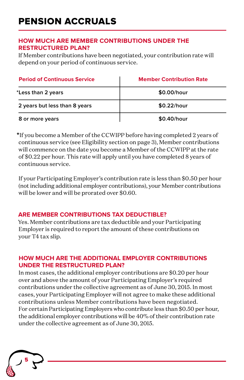### **HOW MUCH ARE MEMBER CONTRIBUTIONS UNDER THE RESTRUCTURED PLAN?**

If Member contributions have been negotiated, your contribution rate will depend on your period of continuous service.

| <b>Period of Continuous Service</b> | <b>Member Contribution Rate</b> |  |
|-------------------------------------|---------------------------------|--|
| *Less than 2 years                  | \$0.00/hour                     |  |
| 2 years but less than 8 years       | \$0.22/hour                     |  |
| 8 or more years                     | $$0.40/h$ our                   |  |

\*If you become a Member of the CCWIPP before having completed 2 years of continuous service (see Eligibility section on page 3), Member contributions will commence on the date you become a Member of the CCWIPP at the rate of \$0.22 per hour. This rate will apply until you have completed 8 years of continuous service.

If your Participating Employer's contribution rate is less than \$0.50 per hour (not including additional employer contributions), your Member contributions will be lower and will be prorated over \$0.60.

## **ARE MEMBER CONTRIBUTIONS TAX DEDUCTIBLE?**

Yes. Member contributions are tax deductible and your Participating Employer is required to report the amount of these contributions on your T4 tax slip.

### **HOW MUCH ARE THE ADDITIONAL EMPLOYER CONTRIBUTIONS UNDER THE RESTRUCTURED PLAN?**

In most cases, the additional employer contributions are \$0.20 per hour over and above the amount of your Participating Employer's required contributions under the collective agreement as of June 30, 2015. In most cases, your Participating Employer will not agree to make these additional contributions unless Member contributions have been negotiated. For certain Participating Employers who contribute less than \$0.50 per hour, the additional employer contributions will be 40% of their contribution rate under the collective agreement as of June 30, 2015.

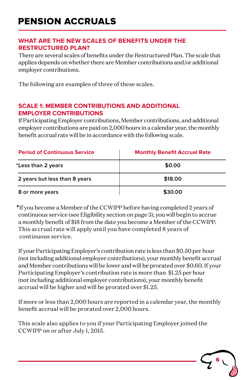## **WHAT ARE THE NEW SCALES OF BENEFITS UNDER THE RESTRUCTURED PLAN?**

There are several scales of benefits under the Restructured Plan. The scale that applies depends on whether there are Member contributions and/or additional employer contributions.

The following are examples of three of these scales.

## **SCALE 1: MEMBER CONTRIBUTIONS AND ADDITIONAL EMPLOYER CONTRIBUTIONS**

If Participating Employer contributions, Member contributions, and additional employer contributions are paid on 2,000 hours in a calendar year, the monthly benefit accrual rate will be in accordance with the following scale.

| <b>Period of Continuous Service</b> | <b>Monthly Benefit Accrual Rate</b> |  |  |
|-------------------------------------|-------------------------------------|--|--|
| *Less than 2 years                  | \$0.00                              |  |  |
| 2 years but less than 8 years       | \$18.00                             |  |  |
| 8 or more years                     | \$30.00                             |  |  |

\*If you become a Member of the CCWIPP before having completed 2 years of continuous service (see Eligibility section on page 3), you will begin to accrue a monthly benefit of \$18 from the date you become a Member of the CCWIPP. This accrual rate will apply until you have completed 8 years of continuous service.

If your Participating Employer's contribution rate is less than \$0.50 per hour (not including additional employer contributions), your monthly benefit accrual and Member contributions will be lower and will be prorated over \$0.60. If your Participating Employer's contribution rate is more than \$1.25 per hour (not including additional employer contributions), your monthly benefit accrual will be higher and will be prorated over \$1.25.

If more or less than 2,000 hours are reported in a calendar year, the monthly benefit accrual will be prorated over 2,000 hours.

This scale also applies to you if your Participating Employer joined the CCWIPP on or after July 1, 2015.

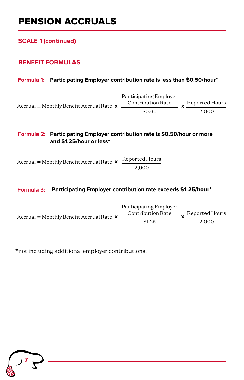# PENSION ACCRUALS

**SCALE 1 (continued)**

## **BENEFIT FORMULAS**

#### **Formula 1: Participating Employer contribution rate is less than \$0.50/hour\***

Reported Hours **x** 2,000 Accrual = Monthly Benefit Accrual Rate **x**  $\frac{\text{30}}{\text{50}}$ Participating Employer Contribution Rate

#### **Formula 2: Participating Employer contribution rate is \$0.50/hour or more and \$1.25/hour or less\***

Accrual = Monthly Benefit Accrual Rate  $\boldsymbol{x}$  Reported Hours 2,000

#### **Formula 3: Participating Employer contribution rate excee**ds \$1.25/hour\*

|                                              | Participating Employer |                |
|----------------------------------------------|------------------------|----------------|
| Accrual = Monthly Benefit Accrual Rate $X =$ | Contribution Rate      | Reported Hours |
|                                              | \$1.25                 | 2.000          |

\*not including additional employer contributions.

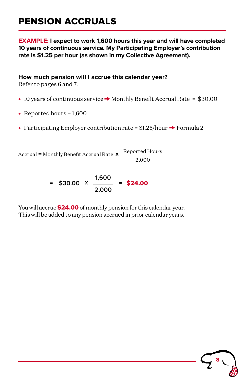# PENSION ACCRUALS

**EXAMPLE: I expect to work 1,600 hours this year and will have completed 10 years of continuous service. My Participating Employer's contribution rate is \$1.25 per hour (as shown in my Collective Agreement).**

**How much pension will I accrue this calendar year?**

Refer to pages 6 and 7:

- 10 years of continuous service → Monthly Benefit Accrual Rate = \$30.00
- **•** Reported hours = 1,600
- Participating Employer contribution rate = \$1.25/hour  $\rightarrow$  Formula 2

Accrual = Monthly Benefit Accrual Rate  $\boldsymbol{x}$  Reported Hours 2,000

> **\$30.00** \$24.00 <sup>=</sup> <sup>=</sup> **1,600 2,000 x**

You will accrue **\$24.00** of monthly pension for this calendar year. This will be added to any pension accrued in prior calendar years.

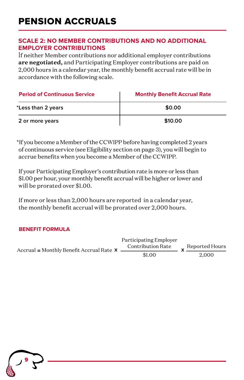### **SCALE 2: NO MEMBER CONTRIBUTIONS AND NO ADDITIONAL EMPLOYER CONTRIBUTIONS**

If neither Member contributions nor additional employer contributions **are negotiated,** and Participating Employer contributions are paid on 2,000 hours in a calendar year, the monthly benefit accrual rate will be in accordance with the following scale.

| <b>Period of Continuous Service</b> | <b>Monthly Benefit Accrual Rate</b> |  |
|-------------------------------------|-------------------------------------|--|
| *Less than 2 years                  | \$0.00                              |  |
| 2 or more years                     | \$10.00                             |  |

\*If you become a Member of the CCWIPP before having completed 2 years of continuous service (see Eligibility section on page 3), you will begin to accrue benefits when you become a Member of the CCWIPP.

If your Participating Employer's contribution rate is more or less than \$1.00 per hour, your monthly benefit accrual will be higher or lower and will be prorated over \$1.00.

If more or less than 2,000 hours are reported in a calendar year, the monthly benefit accrual will be prorated over 2,000 hours.

### **BENEFIT FORMULA**

|                                                                   | Participating Employer |                |
|-------------------------------------------------------------------|------------------------|----------------|
| Accrual = Monthly Benefit Accrual Rate $X \overline{\phantom{a}}$ | Contribution Rate      | Reported Hours |
|                                                                   | \$1.00                 | 2.000          |

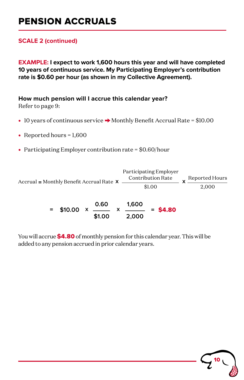# PENSION ACCRUALS

## **SCALE 2 (continued)**

**EXAMPLE: I expect to work 1,600 hours this year and will have completed 10 years of continuous service. My Participating Employer's contribution rate is \$0.60 per hour (as shown in my Collective Agreement).**

**How much pension will I accrue this calendar year?**

Refer to page 9:

- 10 years of continuous service → Monthly Benefit Accrual Rate = \$10.00
- **•** Reported hours = 1,600
- **•** Participating Employer contribution rate = \$0.60/hour

Reported Hours 2,000 Accrual = Monthly Benefit Accrual Rate  $\boldsymbol{x}$  <u>contribution rate</u>  $\boldsymbol{x}$ Participating Employer Contribution Rate

> **1,600 2,000 0.60 \$1.00**  $=$  \$10.00  $\times$  X  $\frac{1}{\sqrt{2}}$  = \$4.80

You will accrue \$4.80 of monthly pension for this calendar year. This will be added to any pension accrued in prior calendar years.

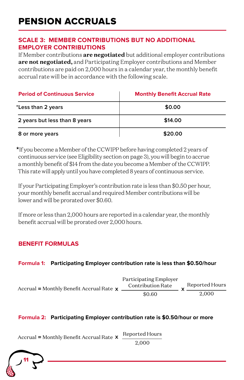# **SCALE 3: MEMBER CONTRIBUTIONS BUT NO ADDITIONAL EMPLOYER CONTRIBUTIONS**

If Member contributions **are negotiated** but additional employer contributions **are not negotiated,** and Participating Employer contributions and Member contributions are paid on 2,000 hours in a calendar year, the monthly benefit accrual rate will be in accordance with the following scale.

| <b>Period of Continuous Service</b> | <b>Monthly Benefit Accrual Rate</b> |  |
|-------------------------------------|-------------------------------------|--|
| *Less than 2 years                  | \$0.00                              |  |
| 2 years but less than 8 years       | \$14.00                             |  |
| 8 or more years                     | \$20.00                             |  |

\*If you become a Member of the CCWIPP before having completed 2 years of continuous service (see Eligibility section on page 3), you will begin to accrue a monthly benefit of \$14 from the date you become a Member of the CCWIPP. This rate will apply until you have completed 8 years of continuous service.

If your Participating Employer's contribution rate is less than \$0.50 per hour, your monthly benefit accrual and required Member contributions will be lower and will be prorated over \$0.60.

If more or less than 2,000 hours are reported in a calendar year, the monthly benefit accrual will be prorated over 2,000 hours.

# **BENEFIT FORMULAS**

### **Formula 1: Participating Employer contribution rate is less than \$0.50/hour**

| Accrual = Monthly Benefit Accrual Rate $x$ $\overline{ }$ | Participating Employer<br><b>Contribution Rate</b> | Reported Hours |
|-----------------------------------------------------------|----------------------------------------------------|----------------|
|                                                           | \$0.60                                             | 2.000          |

### **Formula 2: Participating Employer contribution rate is \$0.50/hour or more**

Reported Hours Accrual = Monthly Benefit Accrual Rate  $\times$ 

2,000

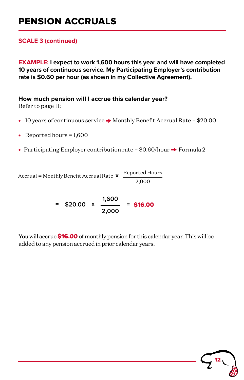# PENSION ACCRUALS

## **SCALE 3 (continued)**

**EXAMPLE: I expect to work 1,600 hours this year and will have completed 10 years of continuous service. My Participating Employer's contribution rate is \$0.60 per hour (as shown in my Collective Agreement).**

# **How much pension will I accrue this calendar year?**

Refer to page 11:

- 10 years of continuous service → Monthly Benefit Accrual Rate = \$20.00
- Reported hours = 1,600
- Participating Employer contribution rate = \$0.60/hour → Formula 2

Accrual = Monthly Benefit Accrual Rate  $\boldsymbol{x}$  Reported Hours 2,000

$$
= $20.00 \times \frac{1,600}{2,000} = $16.00
$$

You will accrue \$16.00 of monthly pension for this calendar year. This will be added to any pension accrued in prior calendar years.

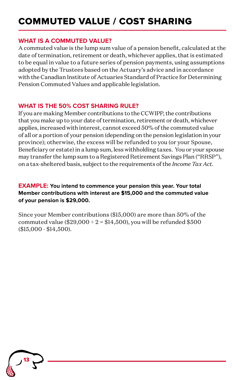#### **WHAT IS A COMMUTED VALUE?**

A commuted value is the lump sum value of a pension benefit, calculated at the date of termination, retirement or death, whichever applies, that is estimated to be equal in value to a future series of pension payments, using assumptions adopted by the Trustees based on the Actuary's advice and in accordance with the Canadian Institute of Actuaries Standard of Practice for Determining Pension Commuted Values and applicable legislation.

## **WHAT IS THE 50% COST SHARING RULE?**

If you are making Member contributions to the CCWIPP, the contributions that you make up to your date of termination, retirement or death, whichever applies, increased with interest, cannot exceed 50% of the commuted value of all or a portion of your pension (depending on the pension legislation in your province); otherwise, the excess will be refunded to you (or your Spouse, Beneficiary or estate) in a lump sum, less withholding taxes. You or your spouse may transfer the lump sum to a Registered Retirement Savings Plan ("RRSP"), on a tax-sheltered basis, subject to the requirements of the *Income Tax Act.*

### **EXAMPLE: You intend to commence your pension this year. Your total Member contributions with interest are \$15,000 and the commuted value of your pension is \$29,000.**

Since your Member contributions (\$15,000) are more than 50% of the commuted value (\$29,000 ÷ 2 = \$14,500), you will be refunded \$500 (\$15,000 - \$14,500).

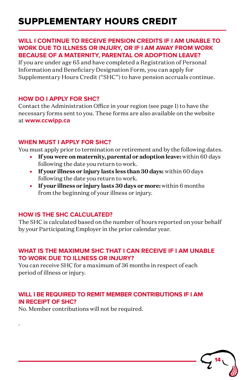# SUPPLEMENTARY HOURS CREDIT

#### **WILL I CONTINUE TO RECEIVE PENSION CREDITS IF I AM UNABLE TO WORK DUE TO ILLNESS OR INJURY, OR IF I AM AWAY FROM WORK BECAUSE OF A MATERNITY, PARENTAL OR ADOPTION LEAVE?**

If you are under age 65 and have completed a Registration of Personal Information and Beneficiary Designation Form, you can apply for Supplementary Hours Credit ("SHC") to have pension accruals continue.

### **HOW DO I APPLY FOR SHC?**

Contact the Administration Office in your region (see page 1) to have the necessary forms sent to you. These forms are also available on the website at **www.ccwipp.ca**

### **WHEN MUST I APPLY FOR SHC?**

You must apply prior to termination or retirement and by the following dates.

- **If you were on maternity, parental or adoption leave:** within 60 days following the date you return to work.
- **If your illness or injury lasts less than 30 days:** within 60 days following the date you return to work.
- **If your illness or injury lasts 30 days or more:** within 6 months from the beginning of your illness or injury.

### **HOW IS THE SHC CALCULATED?**

The SHC is calculated based on the number of hours reported on your behalf by your Participating Employer in the prior calendar year.

### **WHAT IS THE MAXIMUM SHC THAT I CAN RECEIVE IF I AM UNABLE TO WORK DUE TO ILLNESS OR INJURY?**

You can receive SHC for a maximum of 36 months in respect of each period of illness or injury.

## **WILL I BE REQUIRED TO REMIT MEMBER CONTRIBUTIONS IF I AM IN RECEIPT OF SHC?**

No. Member contributions will not be required.

.

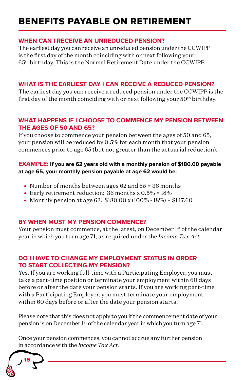#### **WHEN CAN I RECEIVE AN UNREDUCED PENSION?**

The earliest day you can receive an unreduced pension under the CCWIPP is the first day of the month coinciding with or next following your 65th birthday. This is the Normal Retirement Date under the CCWIPP.

### **WHAT IS THE EARLIEST DAY I CAN RECEIVE A REDUCED PENSION?**

The earliest day you can receive a reduced pension under the CCWIPP is the first day of the month coinciding with or next following your  $50<sup>th</sup>$  birthday.

## **WHAT HAPPENS IF I CHOOSE TO COMMENCE MY PENSION BETWEEN THE AGES OF 50 AND 65?**

If you choose to commence your pension between the ages of 50 and 65, your pension will be reduced by 0.5% for each month that your pension commences prior to age 65 (but not greater than the actuarial reduction).

### **EXAMPLE: If you are 62 years old with a monthly pension of \$180.00 payable at age 65, your monthly pension payable at age 62 would be:**

- Number of months between ages 62 and 65 = 36 months
- Early retirement reduction: 36 months x 0.5% = 18%
- Monthly pension at age 62: \$180.00 x (100% 18%) = \$147.60

### **BY WHEN MUST MY PENSION COMMENCE?**

Your pension must commence, at the latest, on December 1<sup>st</sup> of the calendar year in which you turn age 71, as required under the *Income Tax Act*.

### **DO I HAVE TO CHANGE MY EMPLOYMENT STATUS IN ORDER TO START COLLECTING MY PENSION?**

Yes. If you are working full-time with a Participating Employer, you must take a part-time position or terminate your employment within 60 days before or after the date your pension starts. If you are working part-time with a Participating Employer, you must terminate your employment within 60 days before or after the date your pension starts.

Please note that this does not apply to you if the commencement date of your pension is on December 1st of the calendar year in which you turn age 71.

Once your pension commences, you cannot accrue any further pension in accordance with the *Income Tax Act.*

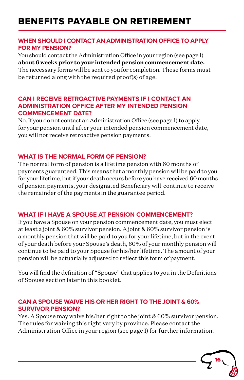### **WHEN SHOULD I CONTACT AN ADMINISTRATION OFFICE TO APPLY FOR MY PENSION?**

You should contact the Administration Office in your region (see page 1) **about 6 weeks prior to your intended pension commencement date.**  The necessary forms will be sent to you for completion. These forms must be returned along with the required proof(s) of age.

### **CAN I RECEIVE RETROACTIVE PAYMENTS IF I CONTACT AN ADMINISTRATION OFFICE AFTER MY INTENDED PENSION COMMENCEMENT DATE?**

No. If you do not contact an Administration Office (see page 1) to apply for your pension until after your intended pension commencement date, you will not receive retroactive pension payments.

### **WHAT IS THE NORMAL FORM OF PENSION?**

The normal form of pension is a lifetime pension with 60 months of payments guaranteed. This means that a monthly pension will be paid to you for your lifetime, but if your death occurs before you have received 60 months of pension payments, your designated Beneficiary will continue to receive the remainder of the payments in the guarantee period.

### **WHAT IF I HAVE A SPOUSE AT PENSION COMMENCEMENT?**

If you have a Spouse on your pension commencement date, you must elect at least a joint & 60% survivor pension. A joint & 60% survivor pension is a monthly pension that will be paid to you for your lifetime, but in the event of your death before your Spouse's death, 60% of your monthly pension will continue to be paid to your Spouse for his/her lifetime. The amount of your pension will be actuarially adjusted to reflect this form of payment.

You will find the definition of "Spouse" that applies to you in the Definitions of Spouse section later in this booklet.

### **CAN A SPOUSE WAIVE HIS OR HER RIGHT TO THE JOINT & 60% SURVIVOR PENSION?**

Yes. A Spouse may waive his/her right to the joint & 60% survivor pension. The rules for waiving this right vary by province. Please contact the Administration Office in your region (see page 1) for further information.

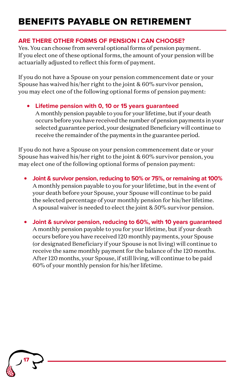### **ARE THERE OTHER FORMS OF PENSION I CAN CHOOSE?**

Yes. You can choose from several optional forms of pension payment. If you elect one of these optional forms, the amount of your pension will be actuarially adjusted to reflect this form of payment.

If you do not have a Spouse on your pension commencement date or your Spouse has waived his/her right to the joint & 60% survivor pension, you may elect one of the following optional forms of pension payment:

### **• Lifetime pension with 0, 10 or 15 years guaranteed**

A monthly pension payable to you for your lifetime, but if your death occurs before you have received the number of pension payments in your selected guarantee period, your designated Beneficiary will continue to receive the remainder of the payments in the guarantee period.

If you do not have a Spouse on your pension commencement date or your Spouse has waived his/her right to the joint & 60% survivor pension, you may elect one of the following optional forms of pension payment:

- **• Joint & survivor pension, reducing to 50% or 75%, or remaining at 100%** A monthly pension payable to you for your lifetime, but in the event of your death before your Spouse, your Spouse will continue to be paid the selected percentage of your monthly pension for his/her lifetime. A spousal waiver is needed to elect the joint & 50% survivor pension.
- **• Joint & survivor pension, reducing to 60%, with 10 years guaranteed**  A monthly pension payable to you for your lifetime, but if your death occurs before you have received 120 monthly payments, your Spouse (or designated Beneficiary if your Spouse is not living) will continue to receive the same monthly payment for the balance of the 120 months. After 120 months, your Spouse, if still living, will continue to be paid 60% of your monthly pension for his/her lifetime.

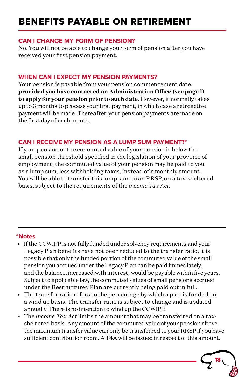#### **CAN I CHANGE MY FORM OF PENSION?**

No. You will not be able to change your form of pension after you have received your first pension payment.

## **WHEN CAN I EXPECT MY PENSION PAYMENTS?**

Your pension is payable from your pension commencement date, **provided you have contacted an Administration Office (see page 1) to apply for your pension prior to such date.** However, it normally takes up to 3 months to process your first payment, in which case a retroactive payment will be made. Thereafter, your pension payments are made on the first day of each month.

### **CAN I RECEIVE MY PENSION AS A LUMP SUM PAYMENT?\***

If your pension or the commuted value of your pension is below the small pension threshold specified in the legislation of your province of employment, the commuted value of your pension may be paid to you as a lump sum, less withholding taxes, instead of a monthly amount. You will be able to transfer this lump sum to an RRSP, on a tax-sheltered basis, subject to the requirements of the *Income Tax Act.*

### **\*Notes**

- If the CCWIPP is not fully funded under solvency requirements and your Legacy Plan benefits have not been reduced to the transfer ratio, it is possible that only the funded portion of the commuted value of the small pension you accrued under the Legacy Plan can be paid immediately, and the balance, increased with interest, would be payable within five years. Subject to applicable law, the commuted values of small pensions accrued under the Restructured Plan are currently being paid out in full.
- The transfer ratio refers to the percentage by which a plan is funded on a wind up basis. The transfer ratio is subject to change and is updated annually. There is no intention to wind up the CCWIPP.
- The *Income Tax Act* limits the amount that may be transferred on a taxsheltered basis. Any amount of the commuted value of your pension above the maximum transfer value can only be transferred to your RRSP if you have sufficient contribution room. A T4A will be issued in respect of this amount.

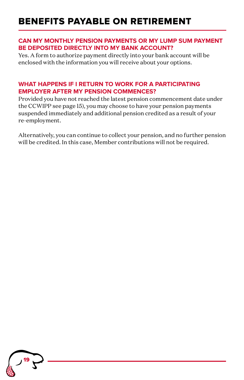#### **CAN MY MONTHLY PENSION PAYMENTS OR MY LUMP SUM PAYMENT BE DEPOSITED DIRECTLY INTO MY BANK ACCOUNT?**

Yes. A form to authorize payment directly into your bank account will be enclosed with the information you will receive about your options.

### **WHAT HAPPENS IF I RETURN TO WORK FOR A PARTICIPATING EMPLOYER AFTER MY PENSION COMMENCES?**

Provided you have not reached the latest pension commencement date under the CCWIPP see page 15), you may choose to have your pension payments suspended immediately and additional pension credited as a result of your re-employment.

Alternatively, you can continue to collect your pension, and no further pension will be credited. In this case, Member contributions will not be required.

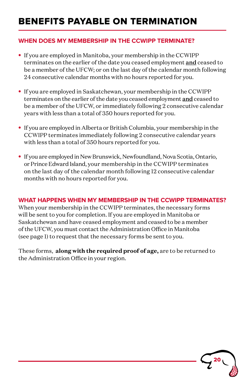# BENEFITS PAYABLE ON TERMINATION

### **WHEN DOES MY MEMBERSHIP IN THE CCWIPP TERMINATE?**

- **•** If you are employed in Manitoba, your membership in the CCWIPP terminates on the earlier of the date you ceased employment and ceased to be a member of the UFCW; or on the last day of the calendar month following 24 consecutive calendar months with no hours reported for you.
- **•** If you are employed in Saskatchewan, your membership in the CCWIPP terminates on the earlier of the date you ceased employment and ceased to be a member of the UFCW, or immediately following 2 consecutive calendar years with less than a total of 350 hours reported for you.
- **•** If you are employed in Alberta or British Columbia, your membership in the CCWIPP terminates immediately following 2 consecutive calendar years with less than a total of 350 hours reported for you.
- **•** If you are employed in New Brunswick, Newfoundland, Nova Scotia, Ontario, or Prince Edward Island, your membership in the CCWIPP terminates on the last day of the calendar month following 12 consecutive calendar months with no hours reported for you.

### **WHAT HAPPENS WHEN MY MEMBERSHIP IN THE CCWIPP TERMINATES?**

When your membership in the CCWIPP terminates, the necessary forms will be sent to you for completion. If you are employed in Manitoba or Saskatchewan and have ceased employment and ceased to be a member of the UFCW, you must contact the Administration Office in Manitoba (see page 1) to request that the necessary forms be sent to you.

These forms, **along with the required proof of age,** are to be returned to the Administration Office in your region.

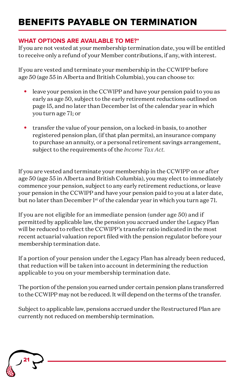# BENEFITS PAYABLE ON TERMINATION

### **WHAT OPTIONS ARE AVAILABLE TO ME?\***

If you are not vested at your membership termination date, you will be entitled to receive only a refund of your Member contributions, if any, with interest.

If you are vested and terminate your membership in the CCWIPP before age 50 (age 55 in Alberta and British Columbia), you can choose to:

- **•** leave your pension in the CCWIPP and have your pension paid to you as early as age 50, subject to the early retirement reductions outlined on page 15, and no later than December 1st of the calendar year in which you turn age 71; or
- **•** transfer the value of your pension, on a locked-in basis, to another registered pension plan, (if that plan permits), an insurance company to purchase an annuity, or a personal retirement savings arrangement, subject to the requirements of the *Income Tax Act.*

If you are vested and terminate your membership in the CCWIPP on or after age 50 (age 55 in Alberta and British Columbia), you may elect to immediately commence your pension, subject to any early retirement reductions, or leave your pension in the CCWIPP and have your pension paid to you at a later date, but no later than December l<sup>st</sup> of the calendar year in which you turn age 71.

If you are not eligible for an immediate pension (under age 50) and if permitted by applicable law, the pension you accrued under the Legacy Plan will be reduced to reflect the CCWIPP's transfer ratio indicated in the most recent actuarial valuation report filed with the pension regulator before your membership termination date.

If a portion of your pension under the Legacy Plan has already been reduced, that reduction will be taken into account in determining the reduction applicable to you on your membership termination date.

The portion of the pension you earned under certain pension plans transferred to the CCWIPP may not be reduced. It will depend on the terms of the transfer.

Subject to applicable law, pensions accrued under the Restructured Plan are currently not reduced on membership termination.

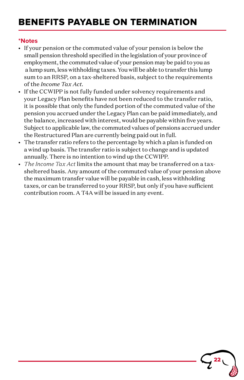# BENEFITS PAYABLE ON TERMINATION

#### **\*Notes**

- If your pension or the commuted value of your pension is below the small pension threshold specified in the legislation of your province of employment, the commuted value of your pension may be paid to you as a lump sum, less withholding taxes. You will be able to transfer this lump sum to an RRSP, on a tax-sheltered basis, subject to the requirements of the *Income Tax Act.*
- If the CCWIPP is not fully funded under solvency requirements and your Legacy Plan benefits have not been reduced to the transfer ratio, it is possible that only the funded portion of the commuted value of the pension you accrued under the Legacy Plan can be paid immediately, and the balance, increased with interest, would be payable within five years. Subject to applicable law, the commuted values of pensions accrued under the Restructured Plan are currently being paid out in full.
- The transfer ratio refers to the percentage by which a plan is funded on a wind up basis. The transfer ratio is subject to change and is updated annually. There is no intention to wind up the CCWIPP.
- *The Income Tax Act* limits the amount that may be transferred on a taxsheltered basis. Any amount of the commuted value of your pension above the maximum transfer value will be payable in cash, less withholding taxes, or can be transferred to your RRSP, but only if you have sufficient contribution room. A T4A will be issued in any event.

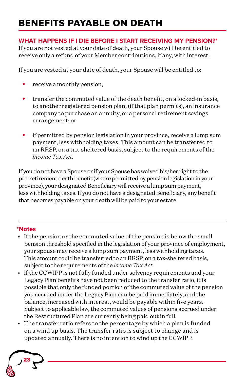# BENEFITS PAYABLE ON DEATH

## **WHAT HAPPENS IF I DIE BEFORE I START RECEIVING MY PENSION?\***

If you are not vested at your date of death, your Spouse will be entitled to receive only a refund of your Member contributions, if any, with interest.

If you are vested at your date of death, your Spouse will be entitled to:

- **•** receive a monthly pension;
- **•** transfer the commuted value of the death benefit, on a locked-in basis, to another registered pension plan, (if that plan permits), an insurance company to purchase an annuity, or a personal retirement savings arrangement; or
- **•** if permitted by pension legislation in your province, receive a lump sum payment, less withholding taxes. This amount can be transferred to an RRSP, on a tax-sheltered basis, subject to the requirements of the *Income Tax Act.*

If you do not have a Spouse or if your Spouse has waived his/her right to the pre-retirement death benefit (where permitted by pension legislation in your province), your designated Beneficiary will receive a lump sum payment, less withholding taxes. If you do not have a designated Beneficiary, any benefit that becomes payable on your death will be paid to your estate.

# **\*Notes**

- If the pension or the commuted value of the pension is below the small pension threshold specified in the legislation of your province of employment, your spouse may receive a lump sum payment, less withholding taxes. This amount could be transferred to an RRSP, on a tax-sheltered basis, subject to the requirements of the *Income Tax Act*.
- If the CCWIPP is not fully funded under solvency requirements and your Legacy Plan benefits have not been reduced to the transfer ratio, it is possible that only the funded portion of the commuted value of the pension you accrued under the Legacy Plan can be paid immediately, and the balance, increased with interest, would be payable within five years. Subject to applicable law, the commuted values of pensions accrued under the Restructured Plan are currently being paid out in full.
- The transfer ratio refers to the percentage by which a plan is funded on a wind up basis. The transfer ratio is subject to change and is updated annually. There is no intention to wind up the CCWIPP.

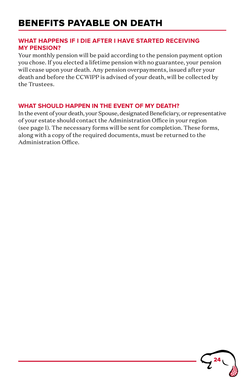# BENEFITS PAYABLE ON DEATH

### **WHAT HAPPENS IF I DIE AFTER I HAVE STARTED RECEIVING MY PENSION?**

Your monthly pension will be paid according to the pension payment option you chose. If you elected a lifetime pension with no guarantee, your pension will cease upon your death. Any pension overpayments, issued after your death and before the CCWIPP is advised of your death, will be collected by the Trustees.

## **WHAT SHOULD HAPPEN IN THE EVENT OF MY DEATH?**

In the event of your death, your Spouse, designated Beneficiary, or representative of your estate should contact the Administration Office in your region (see page 1). The necessary forms will be sent for completion. These forms, along with a copy of the required documents, must be returned to the Administration Office.

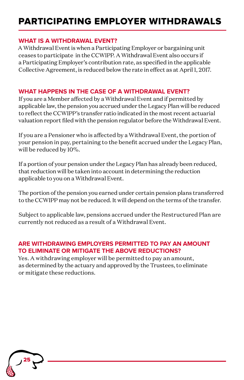# PARTICIPATING EMPLOYER WITHDRAWALS

### **WHAT IS A WITHDRAWAL EVENT?**

A Withdrawal Event is when a Participating Employer or bargaining unit ceases to participate in the CCWIPP. A Withdrawal Event also occurs if a Participating Employer's contribution rate, as specified in the applicable Collective Agreement, is reduced below the rate in effect as at April 1, 2017.

## **WHAT HAPPENS IN THE CASE OF A WITHDRAWAL EVENT?**

If you are a Member affected by a Withdrawal Event and if permitted by applicable law, the pension you accrued under the Legacy Plan will be reduced to reflect the CCWIPP's transfer ratio indicated in the most recent actuarial valuation report filed with the pension regulator before the Withdrawal Event.

If you are a Pensioner who is affected by a Withdrawal Event, the portion of your pension in pay, pertaining to the benefit accrued under the Legacy Plan, will be reduced by 10%.

If a portion of your pension under the Legacy Plan has already been reduced, that reduction will be taken into account in determining the reduction applicable to you on a Withdrawal Event.

The portion of the pension you earned under certain pension plans transferred to the CCWIPP may not be reduced. It will depend on the terms of the transfer.

Subject to applicable law, pensions accrued under the Restructured Plan are currently not reduced as a result of a Withdrawal Event.

# **ARE WITHDRAWING EMPLOYERS PERMITTED TO PAY AN AMOUNT TO ELIMINATE OR MITIGATE THE ABOVE REDUCTIONS?**

Yes. A withdrawing employer will be permitted to pay an amount, as determined by the actuary and approved by the Trustees, to eliminate or mitigate these reductions.

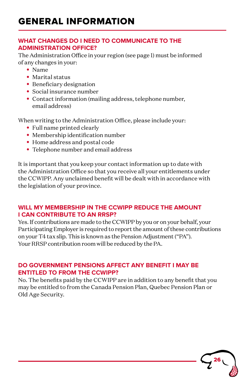### **WHAT CHANGES DO I NEED TO COMMUNICATE TO THE ADMINISTRATION OFFICE?**

The Administration Office in your region (see page 1) must be informed of any changes in your:

- **•** Name
- **•** Marital status
- **•** Beneficiary designation
- **•** Social insurance number
- **•** Contact information (mailing address, telephone number, email address)

When writing to the Administration Office, please include your:

- **•** Full name printed clearly
- **•** Membership identification number
- **•** Home address and postal code
- **•** Telephone number and email address

It is important that you keep your contact information up to date with the Administration Office so that you receive all your entitlements under the CCWIPP. Any unclaimed benefit will be dealt with in accordance with the legislation of your province.

# **WILL MY MEMBERSHIP IN THE CCWIPP REDUCE THE AMOUNT I CAN CONTRIBUTE TO AN RRSP?**

Yes. If contributions are made to the CCWIPP by you or on your behalf, your Participating Employer is required to report the amount of these contributions on your T4 tax slip. This is known as the Pension Adjustment ("PA"). Your RRSP contribution room will be reduced by the PA.

# **DO GOVERNMENT PENSIONS AFFECT ANY BENEFIT I MAY BE ENTITLED TO FROM THE CCWIPP?**

No. The benefits paid by the CCWIPP are in addition to any benefit that you may be entitled to from the Canada Pension Plan, Quebec Pension Plan or Old Age Security.

26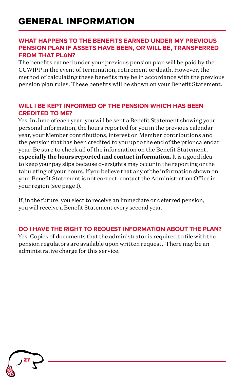### **WHAT HAPPENS TO THE BENEFITS EARNED UNDER MY PREVIOUS PENSION PLAN IF ASSETS HAVE BEEN, OR WILL BE, TRANSFERRED FROM THAT PLAN?**

The benefits earned under your previous pension plan will be paid by the CCWIPP in the event of termination, retirement or death. However, the method of calculating these benefits may be in accordance with the previous pension plan rules. These benefits will be shown on your Benefit Statement.

### **WILL I BE KEPT INFORMED OF THE PENSION WHICH HAS BEEN CREDITED TO ME?**

Yes. In June of each year, you will be sent a Benefit Statement showing your personal information, the hours reported for you in the previous calendar year, your Member contributions, interest on Member contributions and the pension that has been credited to you up to the end of the prior calendar year. Be sure to check all of the information on the Benefit Statement, **especially the hours reported and contact information.** It is a good idea to keep your pay slips because oversights may occur in the reporting or the tabulating of your hours. If you believe that any of the information shown on your Benefit Statement is not correct, contact the Administration Office in your region (see page 1).

If, in the future, you elect to receive an immediate or deferred pension, you will receive a Benefit Statement every second year.

## **DO I HAVE THE RIGHT TO REQUEST INFORMATION ABOUT THE PLAN?**

Yes. Copies of documents that the administrator is required to file with the pension regulators are available upon written request. There may be an administrative charge for this service.

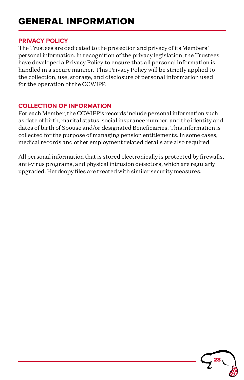# GENERAL INFORMATION GENERAL INFORMATION

#### **PRIVACY POLICY**

The Trustees are dedicated to the protection and privacy of its Members' personal information. In recognition of the privacy legislation, the Trustees have developed a Privacy Policy to ensure that all personal information is handled in a secure manner. This Privacy Policy will be strictly applied to the collection, use, storage, and disclosure of personal information used for the operation of the CCWIPP.

### **COLLECTION OF INFORMATION**

For each Member, the CCWIPP's records include personal information such as date of birth, marital status, social insurance number, and the identity and dates of birth of Spouse and/or designated Beneficiaries. This information is collected for the purpose of managing pension entitlements. In some cases, medical records and other employment related details are also required.

All personal information that is stored electronically is protected by firewalls, anti-virus programs, and physical intrusion detectors, which are regularly upgraded. Hardcopy files are treated with similar security measures.

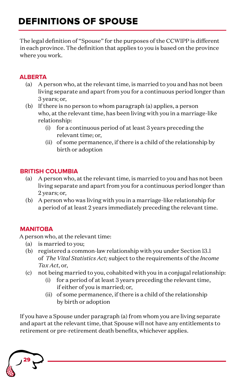# DEFINITIONS OF SPOUSE

The legal definition of "Spouse" for the purposes of the CCWIPP is different in each province. The definition that applies to you is based on the province where you work.

# **ALBERTA**

- (a) A person who, at the relevant time, is married to you and has not been living separate and apart from you for a continuous period longer than 3 years; or,
- (b) If there is no person to whom paragraph (a) applies, a person who, at the relevant time, has been living with you in a marriage-like relationship:
	- (i) for a continuous period of at least 3 years preceding the relevant time; or,
	- (ii) of some permanence, if there is a child of the relationship by birth or adoption

# **BRITISH COLUMBIA**

- (a) A person who, at the relevant time, is married to you and has not been living separate and apart from you for a continuous period longer than 2 years; or,
- (b) A person who was living with you in a marriage-like relationship for a period of at least 2 years immediately preceding the relevant time.

# **MANITOBA**

A person who, at the relevant time:

- (a) is married to you;
- (b) registered a common-law relationship with you under Section 13.1 of *The Vital Statistics Act;* subject to the requirements of the *Income Tax Act*, or,
- (c) not being married to you, cohabited with you in a conjugal relationship:
	- (i) for a period of at least 3 years preceding the relevant time, if either of you is married; or,
	- (ii) of some permanence, if there is a child of the relationship by birth or adoption

If you have a Spouse under paragraph (a) from whom you are living separate and apart at the relevant time, that Spouse will not have any entitlements to retirement or pre-retirement death benefits, whichever applies.

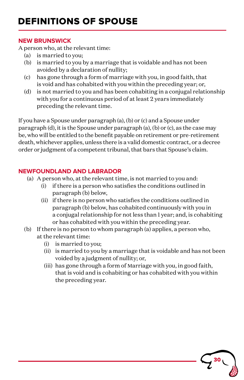### **NEW BRUNSWICK**

A person who, at the relevant time:

- (a) is married to you;
- (b) is married to you by a marriage that is voidable and has not been avoided by a declaration of nullity;
- (c) has gone through a form of marriage with you, in good faith, that is void and has cohabited with you within the preceding year; or,
- (d) is not married to you and has been cohabiting in a conjugal relationship with you for a continuous period of at least 2 years immediately preceding the relevant time.

If you have a Spouse under paragraph (a), (b) or (c) and a Spouse under paragraph (d), it is the Spouse under paragraph (a), (b) or (c), as the case may be, who will be entitled to the benefit payable on retirement or pre-retirement death, whichever applies, unless there is a valid domestic contract, or a decree order or judgment of a competent tribunal, that bars that Spouse's claim.

## **NEWFOUNDLAND AND LABRADOR**

- (a) A person who, at the relevant time, is not married to you and:
	- (i) if there is a person who satisfies the conditions outlined in paragraph (b) below,
	- (ii) if there is no person who satisfies the conditions outlined in paragraph (b) below, has cohabited continuously with you in a conjugal relationship for not less than 1 year; and, is cohabiting or has cohabited with you within the preceding year.
- (b) If there is no person to whom paragraph (a) applies, a person who, at the relevant time:
	- (i) is married to you;
	- (ii) is married to you by a marriage that is voidable and has not been voided by a judgment of nullity; or,

30

(iii) has gone through a form of Marriage with you, in good faith, that is void and is cohabiting or has cohabited with you within the preceding year.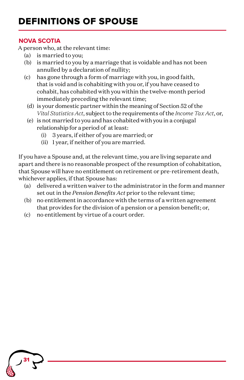# DEFINITIONS OF SPOUSE

### **NOVA SCOTIA**

A person who, at the relevant time:

- (a) is married to you;
- (b) is married to you by a marriage that is voidable and has not been annulled by a declaration of nullity;
- (c) has gone through a form of marriage with you, in good faith, that is void and is cohabiting with you or, if you have ceased to cohabit, has cohabited with you within the twelve-month period immediately preceding the relevant time;
	- (d) is your domestic partner within the meaning of Section 52 of the *Vital Statistics Act*, subject to the requirements of the *Income Tax Act*, or,
	- (e) is not married to you and has cohabited with you in a conjugal relationship for a period of at least:
		- (i) 3 years, if either of you are married; or
		- (ii) 1 year, if neither of you are married.

If you have a Spouse and, at the relevant time, you are living separate and apart and there is no reasonable prospect of the resumption of cohabitation, that Spouse will have no entitlement on retirement or pre-retirement death, whichever applies, if that Spouse has:

- (a) delivered a written waiver to the administrator in the form and manner set out in the *Pension Benefits Act* prior to the relevant time;
- (b) no entitlement in accordance with the terms of a written agreement that provides for the division of a pension or a pension benefit; or,
- (c) no entitlement by virtue of a court order.

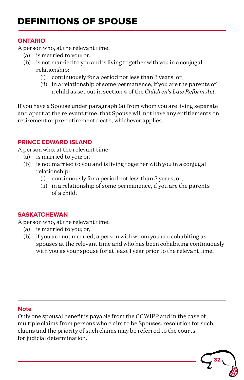# DEFINITIONS OF SPOUSE

#### **ONTARIO**

A person who, at the relevant time:

- (a) is married to you; or,
- (b) is not married to you and is living together with you in a conjugal relationship:
	- (i) continuously for a period not less than 3 years; or,
	- (ii) in a relationship of some permanence, if you are the parents of a child as set out in section 4 of the *Children's Law Reform Act.*

If you have a Spouse under paragraph (a) from whom you are living separate and apart at the relevant time, that Spouse will not have any entitlements on retirement or pre-retirement death, whichever applies.

### **PRINCE EDWARD ISLAND**

A person who, at the relevant time:

- (a) is married to you; or,
- (b) is not married to you and is living together with you in a conjugal relationship:
	- (i) continuously for a period not less than 3 years; or,
	- (ii) in a relationship of some permanence, if you are the parents of a child.

### **SASKATCHEWAN**

A person who, at the relevant time:

- (a) is married to you; or,
- (b) if you are not married, a person with whom you are cohabiting as spouses at the relevant time and who has been cohabiting continuously with you as your spouse for at least 1 year prior to the relevant time.

## **Note**

Only one spousal benefit is payable from the CCWIPP and in the case of multiple claims from persons who claim to be Spouses, resolution for such claims and the priority of such claims may be referred to the courts for judicial determination.